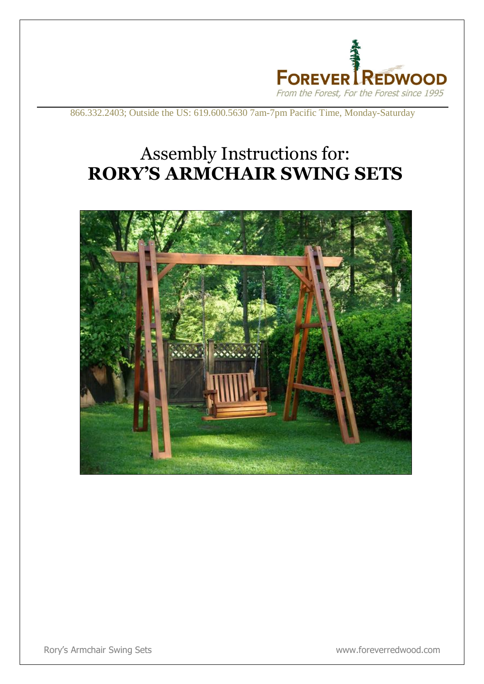

866.332.2403; Outside the US: 619.600.5630 7am-7pm Pacific Time, Monday-Saturday

# Assembly Instructions for: **RORY'S ARMCHAIR SWING SETS**

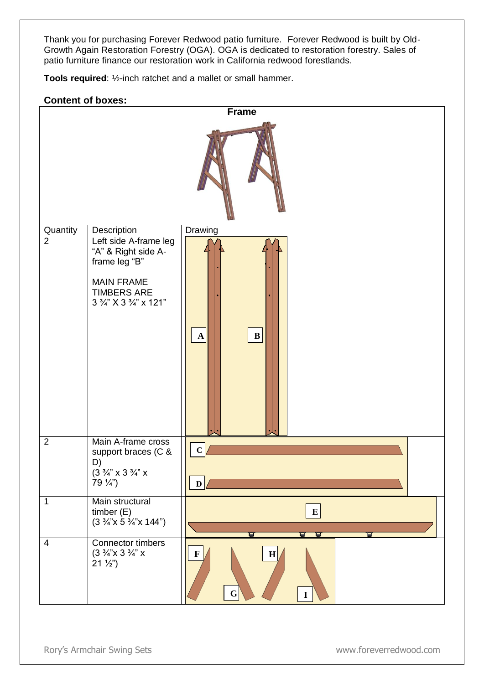Thank you for purchasing Forever Redwood patio furniture. Forever Redwood is built by Old-Growth Again Restoration Forestry (OGA). OGA is dedicated to restoration forestry. Sales of patio furniture finance our restoration work in California redwood forestlands.

**Tools required**: ½-inch ratchet and a mallet or small hammer.

## **Content of boxes:**

| <b>Frame</b>   |                                                                                                                                    |                                                         |  |  |  |
|----------------|------------------------------------------------------------------------------------------------------------------------------------|---------------------------------------------------------|--|--|--|
|                |                                                                                                                                    |                                                         |  |  |  |
| Quantity       | <b>Description</b>                                                                                                                 | Drawing                                                 |  |  |  |
| $\overline{2}$ | Left side A-frame leg<br>"A" & Right side A-<br>frame leg "B"<br><b>MAIN FRAME</b><br><b>TIMBERS ARE</b><br>3 3/4" X 3 3/4" x 121" | $\mathbf{B}$<br>$\mathbf{A}$                            |  |  |  |
| $\overline{2}$ | Main A-frame cross<br>support braces (C &<br>D)<br>$(3 \frac{3}{4}$ " x 3 $\frac{3}{4}$ " x<br>$79\frac{1}{4}$                     | $\mathbf{C}$<br>$\mathbf{D}$                            |  |  |  |
| $\mathbf 1$    | Main structural<br>timber (E)<br>$(3\frac{3}{4}x\ 5\frac{3}{4}x\ 144")$                                                            | $\mathbf{E}$<br>⊌<br>۵<br>ᇦ<br>ᇦ                        |  |  |  |
| $\overline{4}$ | Connector timbers<br>$(3 \frac{3}{4} x 3 \frac{3}{4} x x$<br>$21\frac{1}{2})$                                                      | $\mathbf{F}$<br>$\mathbf H$<br>${\bf G}$<br>$\mathbf I$ |  |  |  |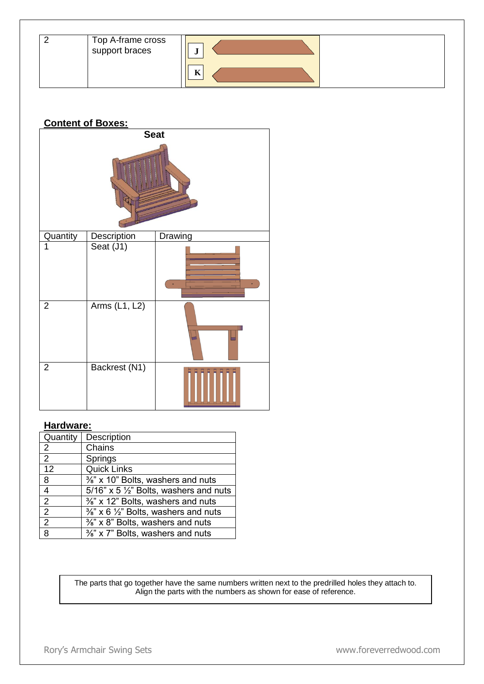| Top A-frame cross<br>support braces |  |
|-------------------------------------|--|
|                                     |  |

# **Content of Boxes:**

| <b>Seat</b>    |               |         |  |  |  |
|----------------|---------------|---------|--|--|--|
|                |               |         |  |  |  |
| Quantity       | Description   | Drawing |  |  |  |
| 1              | Seat (J1)     | $\circ$ |  |  |  |
| $\overline{2}$ | Arms (L1, L2) |         |  |  |  |
| $\overline{2}$ | Backrest (N1) |         |  |  |  |

# **Hardware:**

.

| Quantity        | Description                                                 |
|-----------------|-------------------------------------------------------------|
| 2               | Chains                                                      |
| 2               | Springs                                                     |
| $\overline{12}$ | <b>Quick Links</b>                                          |
| 8               | %" x 10" Bolts, washers and nuts                            |
| $\overline{4}$  | 5/16" x 5 $\frac{1}{2}$ " Bolts, washers and nuts           |
| $\overline{2}$  | %" x 12" Bolts, washers and nuts                            |
| $\overline{2}$  | $\frac{3}{8}$ " x 6 $\frac{1}{2}$ " Bolts, washers and nuts |
| $\overline{2}$  | %" x 8" Bolts, washers and nuts                             |
| $\overline{8}$  | %" x 7" Bolts, washers and nuts                             |

The parts that go together have the same numbers written next to the predrilled holes they attach to. Align the parts with the numbers as shown for ease of reference.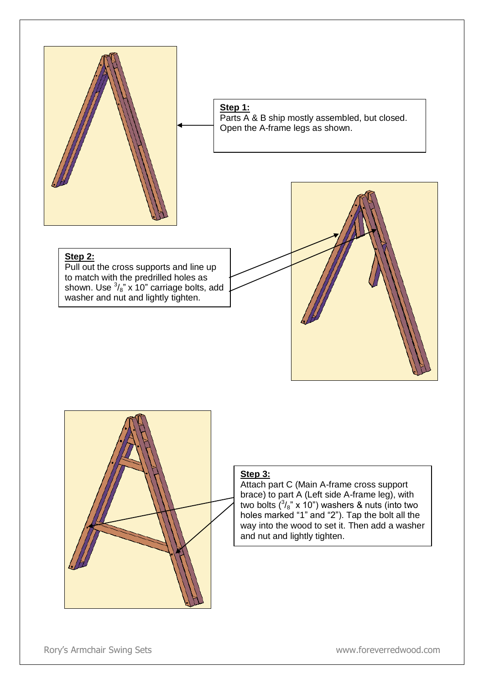



## **Step 3:**

Attach part C (Main A-frame cross support brace) to part A (Left side A-frame leg), with two bolts  $(^3/8"$  x 10") washers & nuts (into two holes marked "1" and "2"). Tap the bolt all the way into the wood to set it. Then add a washer and nut and lightly tighten.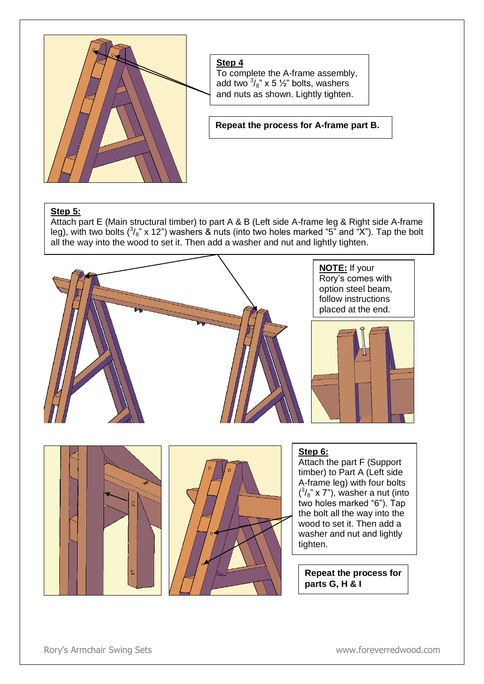

**Step 4** To complete the A-frame assembly,

add two  $\frac{3}{8}$ " x 5  $\frac{1}{2}$ " bolts, washers and nuts as shown. Lightly tighten.

#### **Repeat the process for A-frame part B.**

#### **Step 5:**

Attach part E (Main structural timber) to part A & B (Left side A-frame leg & Right side A-frame leg), with two bolts ( $\frac{3}{8}$ " x 12") washers & nuts (into two holes marked "5" and "X"). Tap the bolt all the way into the wood to set it. Then add a washer and nut and lightly tighten.

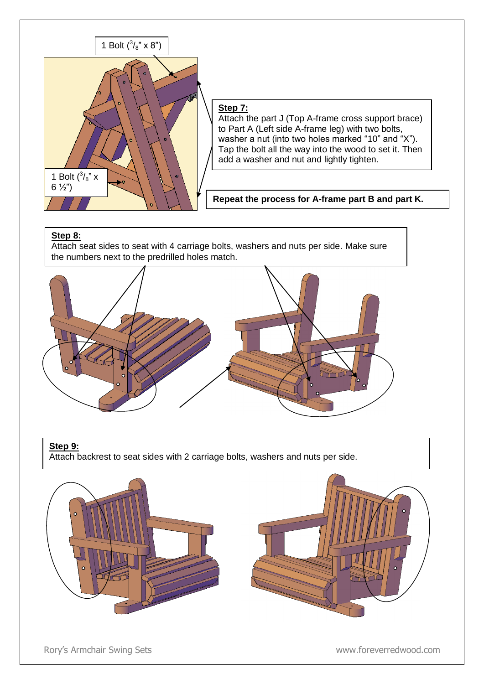

#### **Step 8:**

Attach seat sides to seat with 4 carriage bolts, washers and nuts per side. Make sure the numbers next to the predrilled holes match.



#### **Step 9:**

Attach backrest to seat sides with 2 carriage bolts, washers and nuts per side.



Rory's Armchair Swing Sets **With Strutters and Strutters** www.foreverredwood.com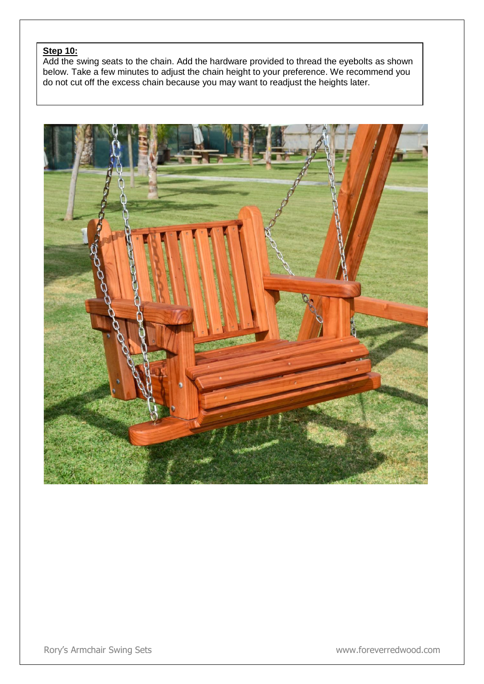# **Step 10:**

Add the swing seats to the chain. Add the hardware provided to thread the eyebolts as shown below. Take a few minutes to adjust the chain height to your preference. We recommend you do not cut off the excess chain because you may want to readjust the heights later.